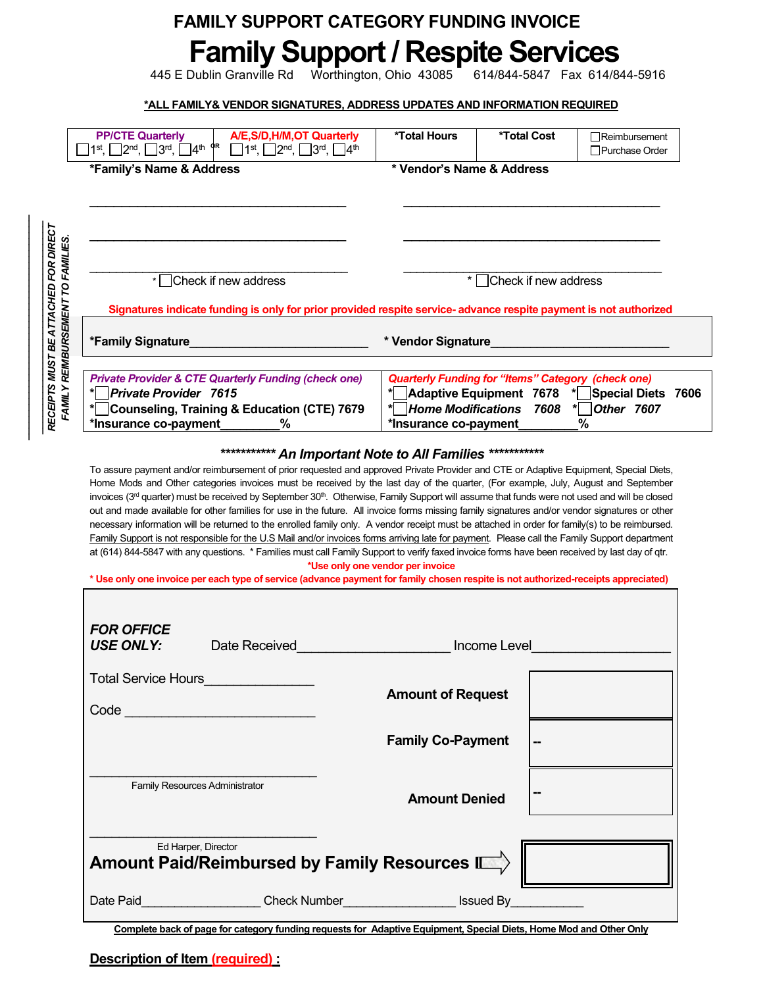## **Family Support / Respite Services FAMILY SUPPORT CATEGORY FUNDING INVOICE**

445 E Dublin Granville Rd Worthington, Ohio 43085 614/844-5847 Fax 614/844-5916

**\*ALL FAMILY& VENDOR SIGNATURES, ADDRESS UPDATES AND INFORMATION REQUIRED**

|                                       | *Family's Name & Address                                                                                                                                                                                                                                                                                                                                                                                                                                                                                                                                                                                                                                                                                                                                                     | * Vendor's Name & Address                                 |                      |                                                                  |
|---------------------------------------|------------------------------------------------------------------------------------------------------------------------------------------------------------------------------------------------------------------------------------------------------------------------------------------------------------------------------------------------------------------------------------------------------------------------------------------------------------------------------------------------------------------------------------------------------------------------------------------------------------------------------------------------------------------------------------------------------------------------------------------------------------------------------|-----------------------------------------------------------|----------------------|------------------------------------------------------------------|
|                                       |                                                                                                                                                                                                                                                                                                                                                                                                                                                                                                                                                                                                                                                                                                                                                                              |                                                           |                      |                                                                  |
|                                       |                                                                                                                                                                                                                                                                                                                                                                                                                                                                                                                                                                                                                                                                                                                                                                              |                                                           |                      |                                                                  |
|                                       |                                                                                                                                                                                                                                                                                                                                                                                                                                                                                                                                                                                                                                                                                                                                                                              |                                                           |                      |                                                                  |
| $\star$ $\overline{\phantom{a}}$      | Check if new address                                                                                                                                                                                                                                                                                                                                                                                                                                                                                                                                                                                                                                                                                                                                                         |                                                           | Check if new address |                                                                  |
|                                       | Signatures indicate funding is only for prior provided respite service- advance respite payment is not authorized                                                                                                                                                                                                                                                                                                                                                                                                                                                                                                                                                                                                                                                            |                                                           |                      |                                                                  |
| *Family Signature_____                |                                                                                                                                                                                                                                                                                                                                                                                                                                                                                                                                                                                                                                                                                                                                                                              | * Vendor Signature_                                       |                      |                                                                  |
|                                       | <b>Private Provider &amp; CTE Quarterly Funding (check one)</b>                                                                                                                                                                                                                                                                                                                                                                                                                                                                                                                                                                                                                                                                                                              | <b>Quarterly Funding for "Items" Category (check one)</b> |                      |                                                                  |
| * <sup>D</sup> Private Provider 7615  | Counseling, Training & Education (CTE) 7679                                                                                                                                                                                                                                                                                                                                                                                                                                                                                                                                                                                                                                                                                                                                  | * Home Modifications                                      | 7608                 | * Adaptive Equipment 7678 * Special Diets 7606<br>* Other $7607$ |
| *Insurance co-payment                 | %                                                                                                                                                                                                                                                                                                                                                                                                                                                                                                                                                                                                                                                                                                                                                                            | *Insurance co-payment                                     |                      | $\frac{9}{6}$                                                    |
|                                       | invoices (3 <sup>rd</sup> quarter) must be received by September 30 <sup>th</sup> . Otherwise, Family Support will assume that funds were not used and will be closed<br>out and made available for other families for use in the future. All invoice forms missing family signatures and/or vendor signatures or other<br>necessary information will be returned to the enrolled family only. A vendor receipt must be attached in order for family(s) to be reimbursed.<br>Family Support is not responsible for the U.S Mail and/or invoices forms arriving late for payment. Please call the Family Support department<br>at (614) 844-5847 with any questions. * Families must call Family Support to verify faxed invoice forms have been received by last day of qtr. |                                                           |                      |                                                                  |
|                                       | * Use only one invoice per each type of service (advance payment for family chosen respite is not authorized-receipts appreciated)                                                                                                                                                                                                                                                                                                                                                                                                                                                                                                                                                                                                                                           | *Use only one vendor per invoice                          |                      |                                                                  |
| <b>FOR OFFICE</b><br><b>USE ONLY:</b> | Date Received                                                                                                                                                                                                                                                                                                                                                                                                                                                                                                                                                                                                                                                                                                                                                                |                                                           | Income Level         |                                                                  |
|                                       | Total Service Hours<br><u>Letter and the series of the series of the series of the series of the series of the series of the series of the series of the series of the series of the series of the series of the series of the ser</u>                                                                                                                                                                                                                                                                                                                                                                                                                                                                                                                                       |                                                           |                      |                                                                  |
|                                       |                                                                                                                                                                                                                                                                                                                                                                                                                                                                                                                                                                                                                                                                                                                                                                              | <b>Amount of Request</b>                                  |                      |                                                                  |
|                                       | Code <u>______________________</u>                                                                                                                                                                                                                                                                                                                                                                                                                                                                                                                                                                                                                                                                                                                                           |                                                           |                      |                                                                  |
|                                       |                                                                                                                                                                                                                                                                                                                                                                                                                                                                                                                                                                                                                                                                                                                                                                              | <b>Family Co-Payment</b>                                  |                      |                                                                  |
|                                       | <b>Family Resources Administrator</b>                                                                                                                                                                                                                                                                                                                                                                                                                                                                                                                                                                                                                                                                                                                                        |                                                           |                      |                                                                  |
|                                       |                                                                                                                                                                                                                                                                                                                                                                                                                                                                                                                                                                                                                                                                                                                                                                              | <b>Amount Denied</b>                                      |                      |                                                                  |
|                                       | Ed Harper, Director<br>Amount Paid/Reimbursed by Family Resources $\blacksquare$                                                                                                                                                                                                                                                                                                                                                                                                                                                                                                                                                                                                                                                                                             |                                                           |                      |                                                                  |

**Complete back of page for category funding requests for Adaptive Equipment, Special Diets, Home Mod and Other Only**

*\_\_\_\_\_\_\_\_\_\_\_\_\_\_\_\_\_\_\_\_\_\_\_\_\_\_\_\_\_\_\_\_\_\_\_\_\_\_ \_\_\_\_\_\_\_\_\_\_\_\_\_\_\_\_\_\_\_\_\_\_\_\_\_\_\_\_\_\_\_\_\_\_\_\_*